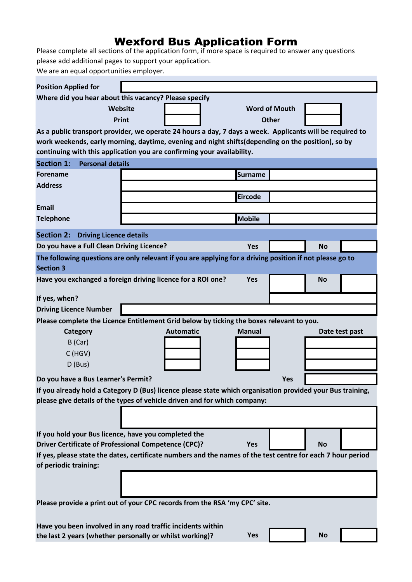## Wexford Bus Application Form

Please complete all sections of the application form, if more space is required to answer any questions please add additional pages to support your application.

We are an equal opportunities employer.

| <b>Position Applied for</b>                                                                                 |                                                                                                                                                                                                                |                      |     |                |  |
|-------------------------------------------------------------------------------------------------------------|----------------------------------------------------------------------------------------------------------------------------------------------------------------------------------------------------------------|----------------------|-----|----------------|--|
|                                                                                                             | Where did you hear about this vacancy? Please specify                                                                                                                                                          |                      |     |                |  |
|                                                                                                             | Website                                                                                                                                                                                                        | <b>Word of Mouth</b> |     |                |  |
|                                                                                                             | Print                                                                                                                                                                                                          | <b>Other</b>         |     |                |  |
|                                                                                                             |                                                                                                                                                                                                                |                      |     |                |  |
|                                                                                                             | As a public transport provider, we operate 24 hours a day, 7 days a week. Applicants will be required to<br>work weekends, early morning, daytime, evening and night shifts (depending on the position), so by |                      |     |                |  |
|                                                                                                             | continuing with this application you are confirming your availability.                                                                                                                                         |                      |     |                |  |
| <b>Section 1:</b><br><b>Personal details</b>                                                                |                                                                                                                                                                                                                |                      |     |                |  |
| <b>Forename</b>                                                                                             |                                                                                                                                                                                                                | <b>Surname</b>       |     |                |  |
| <b>Address</b>                                                                                              |                                                                                                                                                                                                                |                      |     |                |  |
|                                                                                                             |                                                                                                                                                                                                                | <b>Eircode</b>       |     |                |  |
| <b>Email</b>                                                                                                |                                                                                                                                                                                                                |                      |     |                |  |
|                                                                                                             |                                                                                                                                                                                                                | <b>Mobile</b>        |     |                |  |
| <b>Telephone</b>                                                                                            |                                                                                                                                                                                                                |                      |     |                |  |
| <b>Section 2:</b><br><b>Driving Licence details</b>                                                         |                                                                                                                                                                                                                |                      |     |                |  |
| Do you have a Full Clean Driving Licence?                                                                   |                                                                                                                                                                                                                | <b>Yes</b>           |     | <b>No</b>      |  |
|                                                                                                             | The following questions are only relevant if you are applying for a driving position if not please go to                                                                                                       |                      |     |                |  |
| <b>Section 3</b>                                                                                            |                                                                                                                                                                                                                |                      |     |                |  |
|                                                                                                             | Have you exchanged a foreign driving licence for a ROI one?                                                                                                                                                    | <b>Yes</b>           |     | <b>No</b>      |  |
|                                                                                                             |                                                                                                                                                                                                                |                      |     |                |  |
| If yes, when?                                                                                               |                                                                                                                                                                                                                |                      |     |                |  |
| <b>Driving Licence Number</b>                                                                               |                                                                                                                                                                                                                |                      |     |                |  |
| Please complete the Licence Entitlement Grid below by ticking the boxes relevant to you.                    |                                                                                                                                                                                                                |                      |     |                |  |
| Category                                                                                                    | <b>Automatic</b>                                                                                                                                                                                               | Manual               |     | Date test past |  |
| $B$ (Car)                                                                                                   |                                                                                                                                                                                                                |                      |     |                |  |
| $C$ (HGV)                                                                                                   |                                                                                                                                                                                                                |                      |     |                |  |
| D (Bus)                                                                                                     |                                                                                                                                                                                                                |                      |     |                |  |
| Do you have a Bus Learner's Permit?                                                                         |                                                                                                                                                                                                                |                      | Yes |                |  |
| If you already hold a Category D (Bus) licence please state which organisation provided your Bus training,  |                                                                                                                                                                                                                |                      |     |                |  |
| please give details of the types of vehicle driven and for which company:                                   |                                                                                                                                                                                                                |                      |     |                |  |
|                                                                                                             |                                                                                                                                                                                                                |                      |     |                |  |
|                                                                                                             |                                                                                                                                                                                                                |                      |     |                |  |
| If you hold your Bus licence, have you completed the                                                        |                                                                                                                                                                                                                |                      |     |                |  |
| <b>Driver Certificate of Professional Competence (CPC)?</b>                                                 |                                                                                                                                                                                                                | <b>Yes</b>           |     | <b>No</b>      |  |
| If yes, please state the dates, certificate numbers and the names of the test centre for each 7 hour period |                                                                                                                                                                                                                |                      |     |                |  |
| of periodic training:                                                                                       |                                                                                                                                                                                                                |                      |     |                |  |
|                                                                                                             |                                                                                                                                                                                                                |                      |     |                |  |
|                                                                                                             |                                                                                                                                                                                                                |                      |     |                |  |
|                                                                                                             |                                                                                                                                                                                                                |                      |     |                |  |
|                                                                                                             | Please provide a print out of your CPC records from the RSA 'my CPC' site.                                                                                                                                     |                      |     |                |  |
|                                                                                                             |                                                                                                                                                                                                                |                      |     |                |  |
|                                                                                                             | Have you been involved in any road traffic incidents within                                                                                                                                                    |                      |     |                |  |
|                                                                                                             | the last 2 years (whether personally or whilst working)?                                                                                                                                                       | Yes                  |     | <b>No</b>      |  |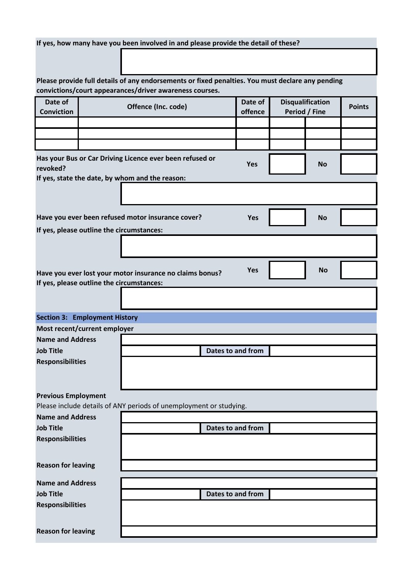|                                                                                                  |  | If yes, how many have you been involved in and please provide the detail of these?                          |                   |            |                         |           |               |
|--------------------------------------------------------------------------------------------------|--|-------------------------------------------------------------------------------------------------------------|-------------------|------------|-------------------------|-----------|---------------|
|                                                                                                  |  |                                                                                                             |                   |            |                         |           |               |
|                                                                                                  |  |                                                                                                             |                   |            |                         |           |               |
|                                                                                                  |  | Please provide full details of any endorsements or fixed penalties. You must declare any pending            |                   |            |                         |           |               |
|                                                                                                  |  | convictions/court appearances/driver awareness courses.                                                     |                   |            |                         |           |               |
| Date of                                                                                          |  | Offence (Inc. code)                                                                                         |                   | Date of    | <b>Disqualification</b> |           | <b>Points</b> |
| <b>Conviction</b>                                                                                |  |                                                                                                             |                   | offence    | Period / Fine           |           |               |
|                                                                                                  |  |                                                                                                             |                   |            |                         |           |               |
|                                                                                                  |  |                                                                                                             |                   |            |                         |           |               |
| revoked?                                                                                         |  | Has your Bus or Car Driving Licence ever been refused or<br>If yes, state the date, by whom and the reason: |                   | Yes        |                         | <b>No</b> |               |
|                                                                                                  |  |                                                                                                             |                   |            |                         |           |               |
|                                                                                                  |  |                                                                                                             |                   |            |                         |           |               |
|                                                                                                  |  |                                                                                                             |                   |            |                         |           |               |
|                                                                                                  |  | Have you ever been refused motor insurance cover?                                                           |                   | <b>Yes</b> |                         | <b>No</b> |               |
| If yes, please outline the circumstances:                                                        |  |                                                                                                             |                   |            |                         |           |               |
|                                                                                                  |  |                                                                                                             |                   |            |                         |           |               |
|                                                                                                  |  |                                                                                                             |                   |            |                         |           |               |
| <b>Yes</b><br><b>No</b><br>Have you ever lost your motor insurance no claims bonus?              |  |                                                                                                             |                   |            |                         |           |               |
| If yes, please outline the circumstances:                                                        |  |                                                                                                             |                   |            |                         |           |               |
|                                                                                                  |  |                                                                                                             |                   |            |                         |           |               |
| <b>Section 3: Employment History</b>                                                             |  |                                                                                                             |                   |            |                         |           |               |
| Most recent/current employer                                                                     |  |                                                                                                             |                   |            |                         |           |               |
| <b>Name and Address</b>                                                                          |  |                                                                                                             |                   |            |                         |           |               |
| <b>Job Title</b>                                                                                 |  | <b>Dates to and from</b>                                                                                    |                   |            |                         |           |               |
| <b>Responsibilities</b>                                                                          |  |                                                                                                             |                   |            |                         |           |               |
|                                                                                                  |  |                                                                                                             |                   |            |                         |           |               |
|                                                                                                  |  |                                                                                                             |                   |            |                         |           |               |
| <b>Previous Employment</b><br>Please include details of ANY periods of unemployment or studying. |  |                                                                                                             |                   |            |                         |           |               |
|                                                                                                  |  |                                                                                                             |                   |            |                         |           |               |
| <b>Name and Address</b><br><b>Job Title</b>                                                      |  |                                                                                                             | Dates to and from |            |                         |           |               |
| <b>Responsibilities</b>                                                                          |  |                                                                                                             |                   |            |                         |           |               |
|                                                                                                  |  |                                                                                                             |                   |            |                         |           |               |
| <b>Reason for leaving</b>                                                                        |  |                                                                                                             |                   |            |                         |           |               |
|                                                                                                  |  |                                                                                                             |                   |            |                         |           |               |
| <b>Name and Address</b>                                                                          |  |                                                                                                             |                   |            |                         |           |               |
| <b>Job Title</b>                                                                                 |  |                                                                                                             | Dates to and from |            |                         |           |               |
| <b>Responsibilities</b>                                                                          |  |                                                                                                             |                   |            |                         |           |               |
|                                                                                                  |  |                                                                                                             |                   |            |                         |           |               |
| <b>Reason for leaving</b>                                                                        |  |                                                                                                             |                   |            |                         |           |               |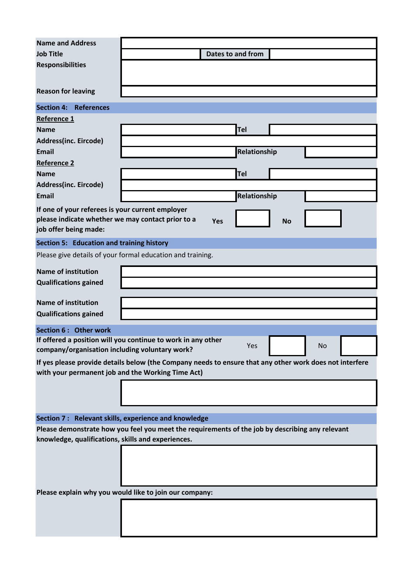| <b>Name and Address</b>                                                                         |                                                                                                         |  |  |  |  |
|-------------------------------------------------------------------------------------------------|---------------------------------------------------------------------------------------------------------|--|--|--|--|
| <b>Job Title</b>                                                                                | <b>Dates to and from</b>                                                                                |  |  |  |  |
| <b>Responsibilities</b>                                                                         |                                                                                                         |  |  |  |  |
|                                                                                                 |                                                                                                         |  |  |  |  |
| <b>Reason for leaving</b>                                                                       |                                                                                                         |  |  |  |  |
| <b>Section 4:</b><br><b>References</b>                                                          |                                                                                                         |  |  |  |  |
| Reference 1                                                                                     |                                                                                                         |  |  |  |  |
| <b>Name</b>                                                                                     | <b>Tel</b>                                                                                              |  |  |  |  |
| Address(inc. Eircode)                                                                           |                                                                                                         |  |  |  |  |
| <b>Email</b>                                                                                    | Relationship                                                                                            |  |  |  |  |
| <b>Reference 2</b>                                                                              |                                                                                                         |  |  |  |  |
| <b>Name</b>                                                                                     | Tel                                                                                                     |  |  |  |  |
| Address(inc. Eircode)                                                                           |                                                                                                         |  |  |  |  |
| <b>Email</b>                                                                                    | Relationship                                                                                            |  |  |  |  |
| If one of your referees is your current employer                                                |                                                                                                         |  |  |  |  |
| please indicate whether we may contact prior to a                                               | Yes<br><b>No</b>                                                                                        |  |  |  |  |
| job offer being made:                                                                           |                                                                                                         |  |  |  |  |
| <b>Section 5: Education and training history</b>                                                |                                                                                                         |  |  |  |  |
|                                                                                                 | Please give details of your formal education and training.                                              |  |  |  |  |
| <b>Name of institution</b>                                                                      |                                                                                                         |  |  |  |  |
| <b>Qualifications gained</b>                                                                    |                                                                                                         |  |  |  |  |
|                                                                                                 |                                                                                                         |  |  |  |  |
| <b>Name of institution</b>                                                                      |                                                                                                         |  |  |  |  |
| <b>Qualifications gained</b>                                                                    |                                                                                                         |  |  |  |  |
| Section 6 : Other work                                                                          |                                                                                                         |  |  |  |  |
| company/organisation including voluntary work?                                                  | If offered a position will you continue to work in any other<br>Yes<br>No                               |  |  |  |  |
|                                                                                                 | If yes please provide details below (the Company needs to ensure that any other work does not interfere |  |  |  |  |
| with your permanent job and the Working Time Act)                                               |                                                                                                         |  |  |  |  |
|                                                                                                 |                                                                                                         |  |  |  |  |
|                                                                                                 |                                                                                                         |  |  |  |  |
|                                                                                                 |                                                                                                         |  |  |  |  |
| Section 7: Relevant skills, experience and knowledge                                            |                                                                                                         |  |  |  |  |
| Please demonstrate how you feel you meet the requirements of the job by describing any relevant |                                                                                                         |  |  |  |  |
| knowledge, qualifications, skills and experiences.                                              |                                                                                                         |  |  |  |  |
|                                                                                                 |                                                                                                         |  |  |  |  |
|                                                                                                 |                                                                                                         |  |  |  |  |
|                                                                                                 |                                                                                                         |  |  |  |  |
|                                                                                                 | Please explain why you would like to join our company:                                                  |  |  |  |  |
|                                                                                                 |                                                                                                         |  |  |  |  |
|                                                                                                 |                                                                                                         |  |  |  |  |
|                                                                                                 |                                                                                                         |  |  |  |  |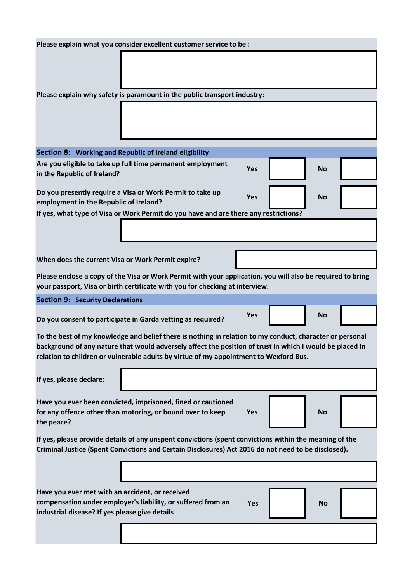| Please explain what you consider excellent customer service to be :                                                                                                                                                  |                                                                                      |            |  |           |  |
|----------------------------------------------------------------------------------------------------------------------------------------------------------------------------------------------------------------------|--------------------------------------------------------------------------------------|------------|--|-----------|--|
|                                                                                                                                                                                                                      |                                                                                      |            |  |           |  |
|                                                                                                                                                                                                                      |                                                                                      |            |  |           |  |
|                                                                                                                                                                                                                      |                                                                                      |            |  |           |  |
|                                                                                                                                                                                                                      | Please explain why safety is paramount in the public transport industry:             |            |  |           |  |
|                                                                                                                                                                                                                      |                                                                                      |            |  |           |  |
|                                                                                                                                                                                                                      |                                                                                      |            |  |           |  |
|                                                                                                                                                                                                                      |                                                                                      |            |  |           |  |
|                                                                                                                                                                                                                      |                                                                                      |            |  |           |  |
| Section 8: Working and Republic of Ireland eligibility                                                                                                                                                               |                                                                                      |            |  |           |  |
|                                                                                                                                                                                                                      | Are you eligible to take up full time permanent employment                           | <b>Yes</b> |  | <b>No</b> |  |
| in the Republic of Ireland?                                                                                                                                                                                          |                                                                                      |            |  |           |  |
|                                                                                                                                                                                                                      | Do you presently require a Visa or Work Permit to take up                            |            |  |           |  |
| employment in the Republic of Ireland?                                                                                                                                                                               |                                                                                      | Yes        |  | <b>No</b> |  |
|                                                                                                                                                                                                                      | If yes, what type of Visa or Work Permit do you have and are there any restrictions? |            |  |           |  |
|                                                                                                                                                                                                                      |                                                                                      |            |  |           |  |
|                                                                                                                                                                                                                      |                                                                                      |            |  |           |  |
|                                                                                                                                                                                                                      |                                                                                      |            |  |           |  |
| When does the current Visa or Work Permit expire?                                                                                                                                                                    |                                                                                      |            |  |           |  |
| Please enclose a copy of the Visa or Work Permit with your application, you will also be required to bring                                                                                                           |                                                                                      |            |  |           |  |
| your passport, Visa or birth certificate with you for checking at interview.                                                                                                                                         |                                                                                      |            |  |           |  |
| <b>Section 9: Security Declarations</b>                                                                                                                                                                              |                                                                                      |            |  |           |  |
|                                                                                                                                                                                                                      |                                                                                      |            |  |           |  |
|                                                                                                                                                                                                                      | Do you consent to participate in Garda vetting as required?                          | <b>Yes</b> |  | <b>No</b> |  |
|                                                                                                                                                                                                                      |                                                                                      |            |  |           |  |
| To the best of my knowledge and belief there is nothing in relation to my conduct, character or personal<br>background of any nature that would adversely affect the position of trust in which I would be placed in |                                                                                      |            |  |           |  |
| relation to children or vulnerable adults by virtue of my appointment to Wexford Bus.                                                                                                                                |                                                                                      |            |  |           |  |
|                                                                                                                                                                                                                      |                                                                                      |            |  |           |  |
| If yes, please declare:                                                                                                                                                                                              |                                                                                      |            |  |           |  |
|                                                                                                                                                                                                                      |                                                                                      |            |  |           |  |
|                                                                                                                                                                                                                      | Have you ever been convicted, imprisoned, fined or cautioned                         |            |  |           |  |
| the peace?                                                                                                                                                                                                           | for any offence other than motoring, or bound over to keep                           | Yes        |  | <b>No</b> |  |
|                                                                                                                                                                                                                      |                                                                                      |            |  |           |  |
| If yes, please provide details of any unspent convictions (spent convictions within the meaning of the                                                                                                               |                                                                                      |            |  |           |  |
| Criminal Justice (Spent Convictions and Certain Disclosures) Act 2016 do not need to be disclosed).                                                                                                                  |                                                                                      |            |  |           |  |
|                                                                                                                                                                                                                      |                                                                                      |            |  |           |  |
|                                                                                                                                                                                                                      |                                                                                      |            |  |           |  |
| Have you ever met with an accident, or received                                                                                                                                                                      |                                                                                      |            |  |           |  |
|                                                                                                                                                                                                                      | compensation under employer's liability, or suffered from an                         | <b>Yes</b> |  | <b>No</b> |  |
| industrial disease? If yes please give details                                                                                                                                                                       |                                                                                      |            |  |           |  |
|                                                                                                                                                                                                                      |                                                                                      |            |  |           |  |
|                                                                                                                                                                                                                      |                                                                                      |            |  |           |  |